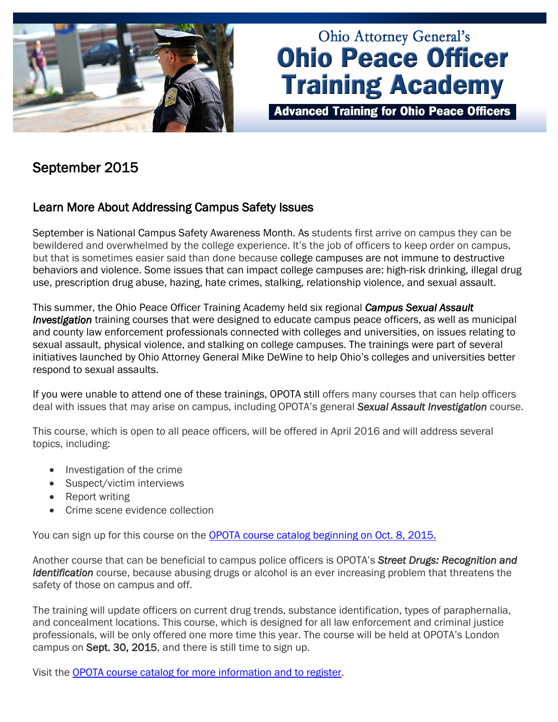

# **Ohio Attorney General's Ohio Peace Officer Training Academy**

**Advanced Training for Ohio Peace Officers** 

## September 2015

## Learn More About Addressing Campus Safety Issues

September is National Campus Safety Awareness Month. As students first arrive on campus they can be bewildered and overwhelmed by the college experience. It's the job of officers to keep order on campus, but that is sometimes easier said than done because college campuses are not immune to destructive behaviors and violence. Some issues that can impact college campuses are: high-risk drinking, illegal drug use, prescription drug abuse, hazing, hate crimes, stalking, relationship violence, and sexual assault.

This summer, the Ohio Peace Officer Training Academy held six regional *Campus Sexual Assault Investigation* training courses that were designed to educate campus peace officers, as well as municipal and county law enforcement professionals connected with colleges and universities, on issues relating to sexual assault, physical violence, and stalking on college campuses. The trainings were part of several initiatives launched by Ohio Attorney General Mike DeWine to help Ohio's colleges and universities better respond to sexual assaults.

If you were unable to attend one of these trainings, OPOTA still offers many courses that can help officers deal with issues that may arise on campus, including OPOTA's general *Sexual Assault Investigation* course.

This course, which is open to all peace officers, will be offered in April 2016 and will address several topics, including:

- Investigation of the crime
- Suspect/victim interviews
- Report writing
- Crime scene evidence collection

You can sign up for this course on the **OPOTA course catalog beginning on Oct. 8, 2015.** 

Another course that can be beneficial to campus police officers is OPOTA's *Street Drugs: Recognition and Identification* course, because abusing drugs or alcohol is an ever increasing problem that threatens the safety of those on campus and off.

The training will update officers on current drug trends, substance identification, types of paraphernalia, and concealment locations. This course, which is designed for all law enforcement and criminal justice professionals, will be only offered one more time this year. The course will be held at OPOTA's London campus on Sept. 30, 2015, and there is still time to sign up.

Visit the OPOTA course catalog [for more information and to register.](http://www.ohioattorneygeneral.gov/Law-Enforcement/Ohio-Peace-Officer-Training-Academy/Course-Catalog/Course-Search.aspx?searchtext=street+drugs&searchmode=allwords)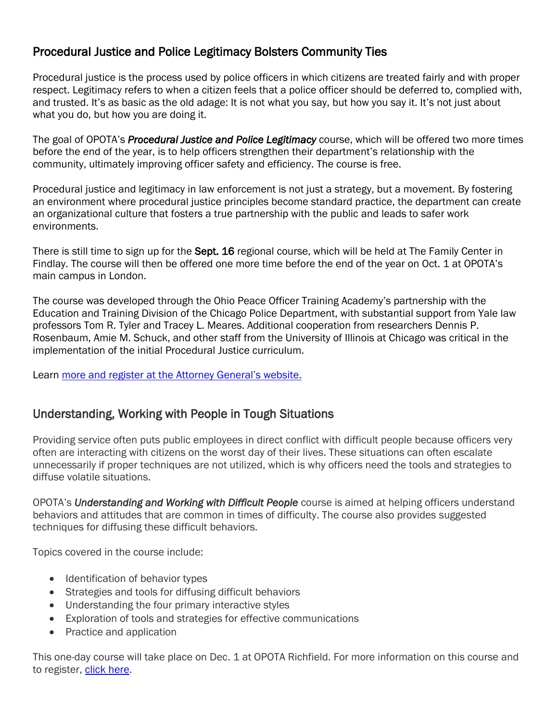## Procedural Justice and Police Legitimacy Bolsters Community Ties

Procedural justice is the process used by police officers in which citizens are treated fairly and with proper respect. Legitimacy refers to when a citizen feels that a police officer should be deferred to, complied with, and trusted. It's as basic as the old adage: It is not what you say, but how you say it. It's not just about what you do, but how you are doing it.

The goal of OPOTA's *Procedural Justice and Police Legitimacy* course, which will be offered two more times before the end of the year,is to help officers strengthen their department's relationship with the community, ultimately improving officer safety and efficiency. The course is free.

Procedural justice and legitimacy in law enforcement is not just a strategy, but a movement. By fostering an environment where procedural justice principles become standard practice, the department can create an organizational culture that fosters a true partnership with the public and leads to safer work environments.

There is still time to sign up for the **Sept. 16** regional course, which will be held at The Family Center in Findlay. The course will then be offered one more time before the end of the year on Oct. 1 at OPOTA's main campus in London.

The course was developed through the Ohio Peace Officer Training Academy's partnership with the Education and Training Division of the Chicago Police Department, with substantial support from Yale law professors Tom R. Tyler and Tracey L. Meares. Additional cooperation from researchers Dennis P. Rosenbaum, Amie M. Schuck, and other staff from the University of Illinois at Chicago was critical in the implementation of the initial Procedural Justice curriculum.

Learn more and register [at the Attorney General's website.](http://www.ohioattorneygeneral.gov/Law-Enforcement/Ohio-Peace-Officer-Training-Academy/Course-Catalog/Course-Categories/Human-Relations-Courses#OPOTA643)

## Understanding, Working with People in Tough Situations

Providing service often puts public employees in direct conflict with difficult people because officers very often are interacting with citizens on the worst day of their lives. These situations can often escalate unnecessarily if proper techniques are not utilized, which is why officers need the tools and strategies to diffuse volatile situations.

OPOTA's *Understanding and Working with Difficult People* course is aimed at helping officers understand behaviors and attitudes that are common in times of difficulty. The course also provides suggested techniques for diffusing these difficult behaviors.

Topics covered in the course include:

- Identification of behavior types
- Strategies and tools for diffusing difficult behaviors
- Understanding the four primary interactive styles
- Exploration of tools and strategies for effective communications
- Practice and application

This one-day course will take place on Dec. 1 at OPOTA Richfield. For more information on this course and to register, [click here.](http://www.ohioattorneygeneral.gov/Law-Enforcement/Ohio-Peace-Officer-Training-Academy/Course-Catalog/Course-Search.aspx?&searchtext=Understanding+and+Working+with+Difficult+People&searchmode=allwords)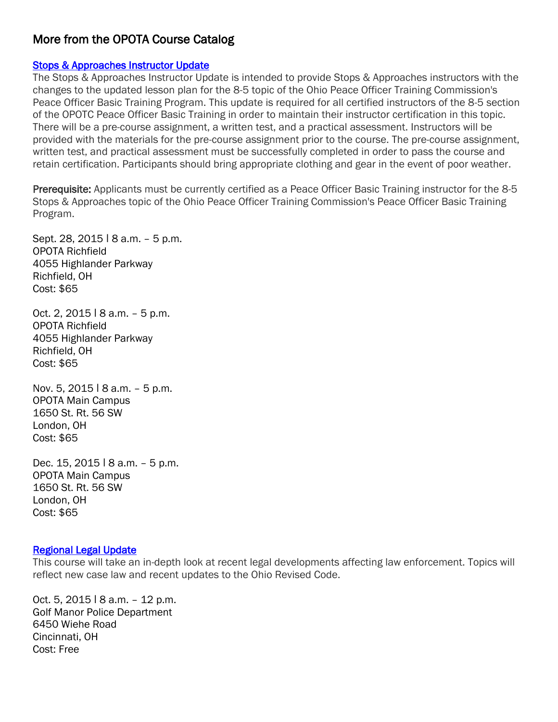### More from the OPOTA Course Catalog

#### [Stops & Approaches Instructor Update](http://www.ohioattorneygeneral.gov/Law-Enforcement/Ohio-Peace-Officer-Training-Academy/Course-Catalog/Course-Search.aspx?+Approaches+Instructor+Update&searchtext=Stops+%26+Approaches+Instructor+Update&searchmode=allwords)

The Stops & Approaches Instructor Update is intended to provide Stops & Approaches instructors with the changes to the updated lesson plan for the 8-5 topic of the Ohio Peace Officer Training Commission's Peace Officer Basic Training Program. This update is required for all certified instructors of the 8-5 section of the OPOTC Peace Officer Basic Training in order to maintain their instructor certification in this topic. There will be a pre-course assignment, a written test, and a practical assessment. Instructors will be provided with the materials for the pre-course assignment prior to the course. The pre-course assignment, written test, and practical assessment must be successfully completed in order to pass the course and retain certification. Participants should bring appropriate clothing and gear in the event of poor weather.

Prerequisite: Applicants must be currently certified as a Peace Officer Basic Training instructor for the 8-5 Stops & Approaches topic of the Ohio Peace Officer Training Commission's Peace Officer Basic Training Program.

Sept. 28, 2015 | 8 a.m. - 5 p.m. OPOTA Richfield 4055 Highlander Parkway Richfield, OH Cost: \$65

Oct. 2, 2015 ǀ 8 a.m. – 5 p.m. OPOTA Richfield 4055 Highlander Parkway Richfield, OH Cost: \$65

Nov. 5, 2015 | 8 a.m. - 5 p.m. OPOTA Main Campus 1650 St. Rt. 56 SW London, OH Cost: \$65

Dec. 15, 2015 | 8 a.m. - 5 p.m. OPOTA Main Campus 1650 St. Rt. 56 SW London, OH Cost: \$65

#### [Regional Legal Update](http://www.ohioattorneygeneral.gov/Law-Enforcement/Ohio-Peace-Officer-Training-Academy/Course-Catalog/Course-Search.aspx?+Approaches+Instructor+Update&+Approaches+Instructor+Update&searchtext=Regional+Legal+Update&searchmode=allwords)

This course will take an in-depth look at recent legal developments affecting law enforcement. Topics will reflect new case law and recent updates to the Ohio Revised Code.

Oct. 5, 2015 ǀ 8 a.m. – 12 p.m. Golf Manor Police Department 6450 Wiehe Road Cincinnati, OH Cost: Free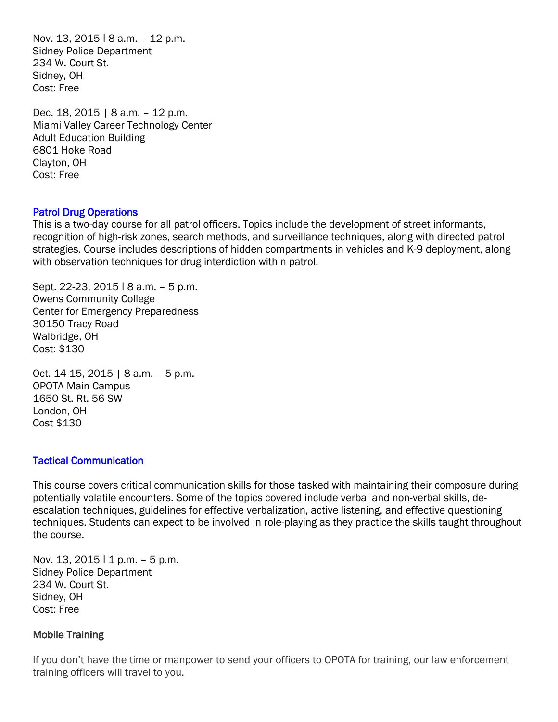Nov. 13, 2015 | 8 a.m. - 12 p.m. Sidney Police Department 234 W. Court St. Sidney, OH Cost: Free

Dec. 18, 2015 | 8 a.m. – 12 p.m. Miami Valley Career Technology Center Adult Education Building 6801 Hoke Road Clayton, OH Cost: Free

#### [Patrol Drug Operations](http://www.ohioattorneygeneral.gov/Law-Enforcement/Ohio-Peace-Officer-Training-Academy/Course-Catalog/Course-Search.aspx?+Approaches+Instructor+Update&+Approaches+Instructor+Update&searchtext=Patrol+Drug+Operations&searchmode=allwords)

This is a two-day course for all patrol officers. Topics include the development of street informants, recognition of high-risk zones, search methods, and surveillance techniques, along with directed patrol strategies. Course includes descriptions of hidden compartments in vehicles and K-9 deployment, along with observation techniques for drug interdiction within patrol.

Sept. 22-23, 2015 ǀ 8 a.m. – 5 p.m. Owens Community College Center for Emergency Preparedness 30150 Tracy Road Walbridge, OH Cost: \$130

Oct. 14-15, 2015 | 8 a.m. – 5 p.m. OPOTA Main Campus 1650 St. Rt. 56 SW London, OH Cost \$130

#### [Tactical Communication](http://www.ohioattorneygeneral.gov/Law-Enforcement/Ohio-Peace-Officer-Training-Academy/Course-Catalog/Course-Search.aspx?+Approaches+Instructor+Update&+Approaches+Instructor+Update&searchtext=Tactical+Communication&searchmode=allwords)

This course covers critical communication skills for those tasked with maintaining their composure during potentially volatile encounters. Some of the topics covered include verbal and non-verbal skills, deescalation techniques, guidelines for effective verbalization, active listening, and effective questioning techniques. Students can expect to be involved in role-playing as they practice the skills taught throughout the course.

Nov. 13, 2015  $11$  p.m.  $-5$  p.m. Sidney Police Department 234 W. Court St. Sidney, OH Cost: Free

#### Mobile Training

If you don't have the time or manpower to send your officers to OPOTA for training, our law enforcement training officers will travel to you.